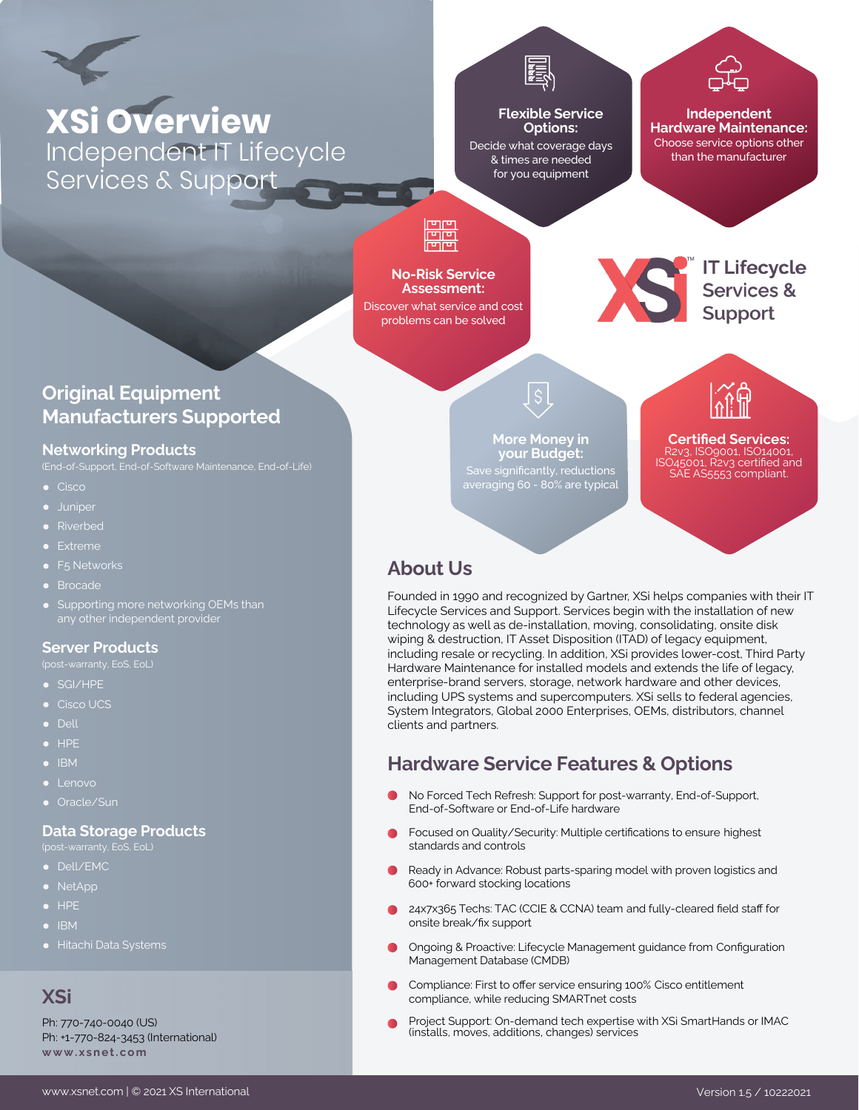

# **XSi Overview** Independent IT Lifecycle Services & Support

#### **Flexible Service Options:**

Decide what coverage days & times are needed for you equipment

> **More Money in your Budget:**

averaging 60 - 80% are typical

#### **Independent Hardware Maintenance:** Choose service options other than the manufacturer

# ĦŦ

#### **No-Risk Service Assessment:**

Discover what service and cost problems can be solved



IT Lifecycle<br>Services &<br>Support

**Certified Services:** R2v3, ISO9001, ISO14001, ISO45001, R2v3 certified and SAE AS5553 compliant.

## **Original Equipment Manufacturers Supported**

#### **Networking Products**

(End-of-Support, End-of-Software Maintenance, End-of-Life)

- $\bullet$  Cisco
- **·** Juniper
- **•** Riverbed
- **•** Extreme
- F<sub>5</sub> Networks
- **•** Brocade
- Supporting more networking OEMs than

#### **Server Products**

- 
- SGI/HPE
- Cisco UCS
- Dell
- $\bullet$  HPE
- $\bullet$  IBM
- $\bullet$  Lenovo
- Oracle/Sun

#### **Data Storage Products**

- 
- Dell/EMC
- NetApp
- HPE
- $\bullet$  IBM
- 

#### **XSi**

Ph: 770-740-0040 (US) Ph: +1-770-824-3453 (International) **[www . x s n e t . c om](https://www.xsnet.com/)**

[www.xsnet.com](https://www.xsnet.com/) | © 2021 XS International Version 1.5 / 10222021

## **About Us**

Founded in 1990 and recognized by Gartner, XSi helps companies with their IT Lifecycle Services and Support. Services begin with the installation of new technology as well as de-installation, moving, consolidating, onsite disk wiping & destruction, IT Asset Disposition (ITAD) of legacy equipment, including resale or recycling. In addition, XSi provides lower-cost, Third Party Hardware Maintenance for installed models and extends the life of legacy, enterprise-brand servers, storage, network hardware and other devices, including UPS systems and supercomputers. XSi sells to federal agencies, System Integrators, Global 2000 Enterprises, OEMs, distributors, channel clients and partners.

## **Hardware Service Features & Options**

- No Forced Tech Refresh: Support for post-warranty, End-of-Support, End-of-Software or End-of-Life hardware
- Focused on Quality/Security: Multiple certifications to ensure highest standards and controls
- Ready in Advance: Robust parts-sparing model with proven logistics and 600+ forward stocking locations
- 24x7x365 Techs: TAC (CCIE & CCNA) team and fully-cleared field staff for onsite break/fix support
- Ongoing & Proactive: Lifecycle Management guidance from Configuration Management Database (CMDB)
- Compliance: First to offer service ensuring 100% Cisco entitlement compliance, while reducing SMARTnet costs
- Project Support: On-demand tech expertise with XSi SmartHands or IMAC (installs, moves, additions, changes) services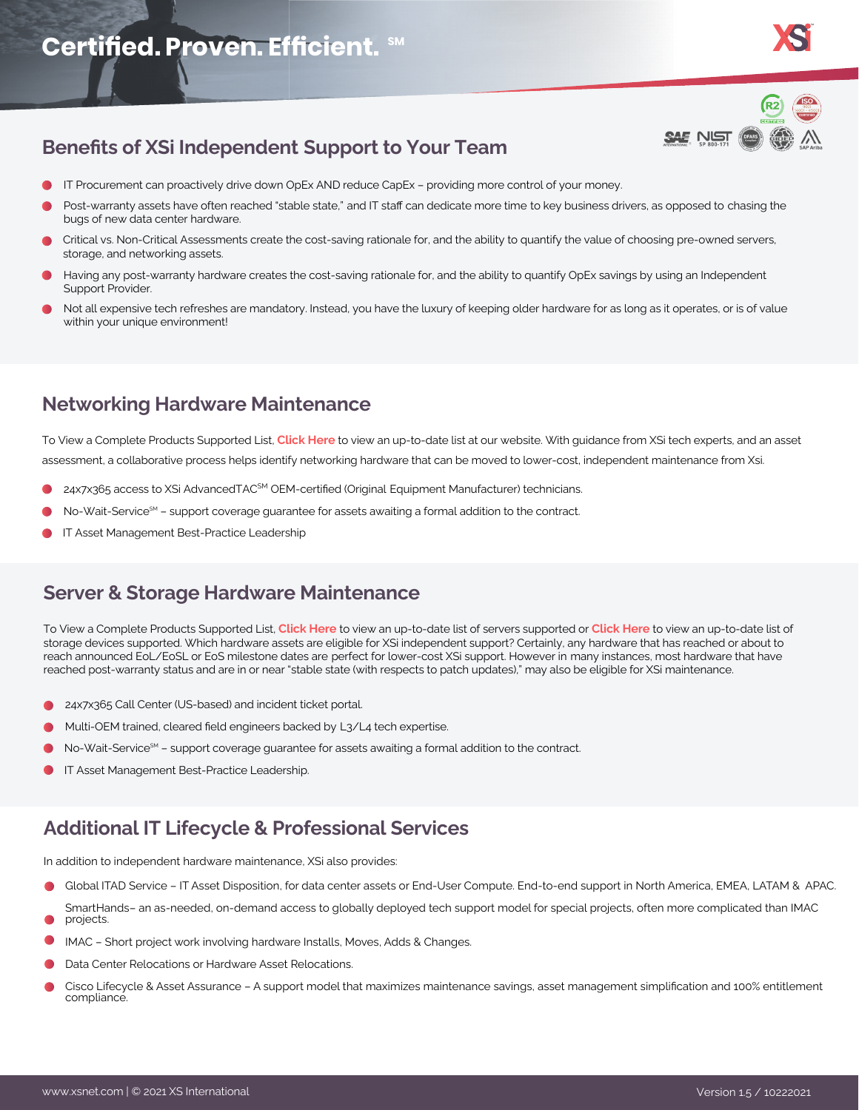

## **Benefits of XSi Independent Support to Your Team**

- IT Procurement can proactively drive down OpEx AND reduce CapEx providing more control of your money.
- Post-warranty assets have often reached "stable state," and IT staff can dedicate more time to key business drivers, as opposed to chasing the bugs of new data center hardware.
- Critical vs. Non-Critical Assessments create the cost-saving rationale for, and the ability to quantify the value of choosing pre-owned servers, storage, and networking assets.
- Having any post-warranty hardware creates the cost-saving rationale for, and the ability to quantify OpEx savings by using an Independent Support Provider.
- Not all expensive tech refreshes are mandatory. Instead, you have the luxury of keeping older hardware for as long as it operates, or is of value within your unique environment!

## **Networking Hardware Maintenance**

To View a Complete Products Supported List, **[Click Here](https://www.xsnet.com/networking-maintenance/#network-devices-supported)** to view an up-to-date list at our website. With guidance from XSi tech experts, and an asset assessment, a collaborative process helps identify networking hardware that can be moved to lower-cost, independent maintenance from Xsi.

- 24x7x365 access to XSi AdvancedTAC<sup>SM</sup> OEM-certified (Original Equipment Manufacturer) technicians.
- No-Wait-Service<sup>SM</sup> support coverage guarantee for assets awaiting a formal addition to the contract.
- IT Asset Management Best-Practice Leadership

## **Server & Storage Hardware Maintenance**

To View a Complete Products Supported List, **[Click Here](https://www.xsnet.com/server-maintenance/#server-systems-supported)** to view an up-to-date list of servers supported or **[Click Here](https://www.xsnet.com/data-storage-maintenance/#storage-devices-supported)** to view an up-to-date list of storage devices supported. Which hardware assets are eligible for XSi independent support? Certainly, any hardware that has reached or about to reach announced EoL/EoSL or EoS milestone dates are perfect for lower-cost XSi support. However in many instances, most hardware that have reached post-warranty status and are in or near "stable state (with respects to patch updates)," may also be eligible for XSi maintenance.

- 24x7x365 Call Center (US-based) and incident ticket portal.
- Multi-OEM trained, cleared field engineers backed by L3/L4 tech expertise.
- No-Wait-Service<sup>SM</sup> support coverage guarantee for assets awaiting a formal addition to the contract.
- IT Asset Management Best-Practice Leadership.

## **Additional IT Lifecycle & Professional Services**

In addition to independent hardware maintenance, XSi also provides:

- Global ITAD Service IT Asset Disposition, for data center assets or End-User Compute. End-to-end support in North America, EMEA, LATAM & APAC.
- SmartHands– an as-needed, on-demand access to globally deployed tech support model for special projects, often more complicated than IMAC projects.
- IMAC Short project work involving hardware Installs, Moves, Adds & Changes.
- Data Center Relocations or Hardware Asset Relocations.
- Cisco Lifecycle & Asset Assurance A support model that maximizes maintenance savings, asset management simplification and 100% entitlement compliance.